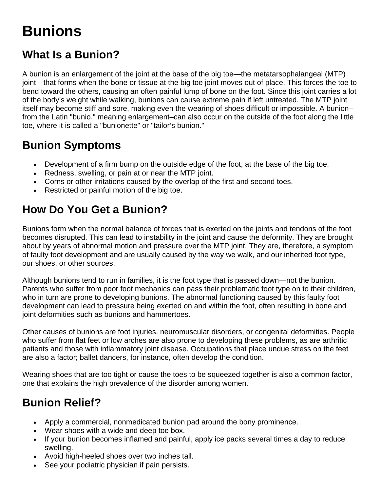# **Bunions**

# **What Is a Bunion?**

A bunion is an enlargement of the joint at the base of the big toe—the metatarsophalangeal (MTP) joint—that forms when the bone or tissue at the big toe joint moves out of place. This forces the toe to bend toward the others, causing an often painful lump of bone on the foot. Since this joint carries a lot of the body's weight while walking, bunions can cause extreme pain if left untreated. The MTP joint itself may become stiff and sore, making even the wearing of shoes difficult or impossible. A bunion– from the Latin "bunio," meaning enlargement–can also occur on the outside of the foot along the little toe, where it is called a "bunionette" or "tailor's bunion."

### **Bunion Symptoms**

- Development of a firm bump on the outside edge of the foot, at the base of the big toe.
- Redness, swelling, or pain at or near the MTP joint.
- Corns or other irritations caused by the overlap of the first and second toes.
- Restricted or painful motion of the big toe.

### **How Do You Get a Bunion?**

Bunions form when the normal balance of forces that is exerted on the joints and tendons of the foot becomes disrupted. This can lead to instability in the joint and cause the deformity. They are brought about by years of abnormal motion and pressure over the MTP joint. They are, therefore, a symptom of faulty foot development and are usually caused by the way we walk, and our inherited foot type, our shoes, or other sources.

Although bunions tend to run in families, it is the foot type that is passed down—not the bunion. Parents who suffer from poor foot mechanics can pass their problematic foot type on to their children, who in turn are prone to developing bunions. The abnormal functioning caused by this faulty foot development can lead to pressure being exerted on and within the foot, often resulting in bone and joint deformities such as bunions and hammertoes.

Other causes of bunions are foot injuries, neuromuscular disorders, or congenital deformities. People who suffer from flat feet or low arches are also prone to developing these problems, as are arthritic patients and those with inflammatory joint disease. Occupations that place undue stress on the feet are also a factor; ballet dancers, for instance, often develop the condition.

Wearing shoes that are too tight or cause the toes to be squeezed together is also a common factor, one that explains the high prevalence of the disorder among women.

# **Bunion Relief?**

- Apply a commercial, nonmedicated bunion pad around the bony prominence.
- Wear shoes with a wide and deep toe box.
- If your bunion becomes inflamed and painful, apply ice packs several times a day to reduce swelling.
- Avoid high-heeled shoes over two inches tall.
- See your podiatric physician if pain persists.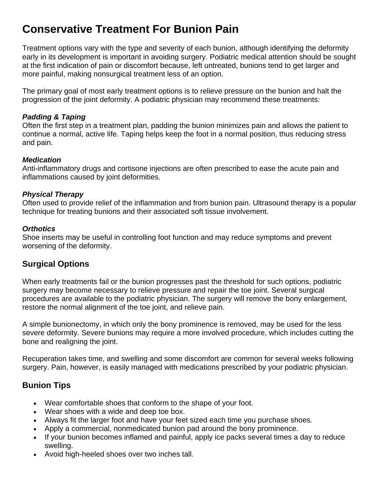### **Conservative Treatment For Bunion Pain**

Treatment options vary with the type and severity of each bunion, although identifying the deformity early in its development is important in avoiding surgery. Podiatric medical attention should be sought at the first indication of pain or discomfort because, left untreated, bunions tend to get larger and more painful, making nonsurgical treatment less of an option.

The primary goal of most early treatment options is to relieve pressure on the bunion and halt the progression of the joint deformity. A podiatric physician may recommend these treatments:

#### *Padding & Taping*

Often the first step in a treatment plan, padding the bunion minimizes pain and allows the patient to continue a normal, active life. Taping helps keep the foot in a normal position, thus reducing stress and pain.

#### *Medication*

Anti-inflammatory drugs and cortisone injections are often prescribed to ease the acute pain and inflammations caused by joint deformities.

#### *Physical Therapy*

Often used to provide relief of the inflammation and from bunion pain. Ultrasound therapy is a popular technique for treating bunions and their associated soft tissue involvement.

#### *Orthotics*

Shoe inserts may be useful in controlling foot function and may reduce symptoms and prevent worsening of the deformity.

### **Surgical Options**

When early treatments fail or the bunion progresses past the threshold for such options, podiatric surgery may become necessary to relieve pressure and repair the toe joint. Several surgical procedures are available to the podiatric physician. The surgery will remove the bony enlargement, restore the normal alignment of the toe joint, and relieve pain.

A simple bunionectomy, in which only the bony prominence is removed, may be used for the less severe deformity. Severe bunions may require a more involved procedure, which includes cutting the bone and realigning the joint.

Recuperation takes time, and swelling and some discomfort are common for several weeks following surgery. Pain, however, is easily managed with medications prescribed by your podiatric physician.

### **Bunion Tips**

- Wear comfortable shoes that conform to the shape of your foot.
- Wear shoes with a wide and deep toe box.
- Always fit the larger foot and have your feet sized each time you purchase shoes.
- Apply a commercial, nonmedicated bunion pad around the bony prominence.
- If your bunion becomes inflamed and painful, apply ice packs several times a day to reduce swelling.
- Avoid high-heeled shoes over two inches tall.